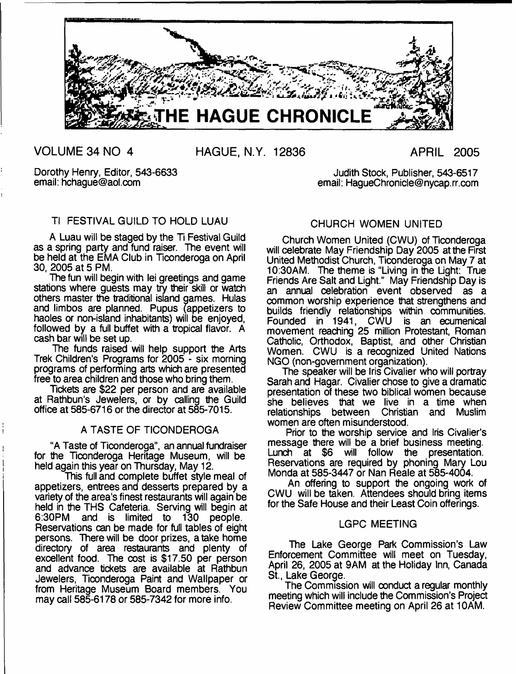

**VOLUME 34 NO 4 HAGUE, N.Y. 12836 APRIL 2005**

Dorothy Henry, Editor, 543-6633 email: [hchague@aol.com](mailto:hchague@aol.com)

Judith Stock, Publisher, 543-6517 email: [HagueChronicle@nycap.rr.com](mailto:HagueChronicle@nycap.rr.com)

# Tl FESTIVAL GUILD TO HOLD LUAU

A Luau will be staged by the Ti Festival Guild as a spring party and fund raiser. The event will be held at the EMA Club in Ticonderoga on April 30, 2005 at 5 PM.

The fun will begin with lei greetings and game stations where guests may try their skill or watch others master the traditional island games. Hulas and limbos are planned. Pupus (appetizers to haoles or non-island inhabitants) will be enjoyed, followed by a full buffet with a tropical flavor. A cash bar will be set up.

The funds raised will help support the Arts Trek Children's Programs for 2005 - six morning programs of performing arts which are presented free to area children and those who bring them.

Tickets are \$22 per person and are available at Rathbun's Jewelers, or by calling the Guild office at 585-6716 or the director at 585-7015.

## A TASTE OF TICONDEROGA

"A Taste of Ticonderoga", an annual fundraiser for the Ticonderoga Heritage Museum, will be held again this year on Thursday, May 12.

This full and complete buffet style meal of appetizers, entrees and desserts prepared by a variety of the area's finest restaurants will again be held in the THS Cafeteria. Serving will begin at 6:30PM and is limited to 130 people. Reservations can be made for full tables of eight persons. There will be door prizes, a take home directory of area restaurants and plenty of excellent food. The cost is \$17.50 per person and advance tickets are available at Rathbun Jewelers, Ticonderoga Paint and Wallpaper or from Heritage Museum Board members. You may call 585-6178 or 585-7342 for more info.

# CHURCH WOMEN UNITED

Church Women United (CWU) of Ticonderoga will celebrate May Friendship Day 2005 at the First United Methodist Church, Ticonderoga on May 7 at 10:30AM. The theme is "Living in the Light: True Friends Are Salt and Light." May Friendship Day is an annual celebration event observed as a common worship experience that strengthens and builds friendly relationships within communities. Founded in 1941, CWU is an ecumenical movement reaching 25 million Protestant, Roman Catholic, Orthodox, Baptist, and other Christian Women. CWU is a recognized United Nations NGO (non-government organization).

The speaker will be Iris Civalier who will portray Sarah and Hagar. Civalier chose to give a dramatic presentation of these two biblical women because she believes that we live in a time when relationships between Christian and Muslim women are often misunderstood.

Prior to the worship service and Iris Civalier's message there will be a brief business meeting. Lunch at \$6 will follow the presentation. Reservations are required by phoning Mary Lou Monda at 585-3447 or Nan Reale at 585-4004.

An offering to support the ongoing work of CWU will be taken. Attendees should bring items for the Safe House and their Least Coin offerings.

## LGPC MEETING

The Lake George Park Commission's Law Enforcement Committee will meet on Tuesday, April 26, 2005 at 9AM at the Holiday Inn, Canada St., Lake George.

The Commission will conduct a regular monthly meeting which will include the Commission's Project Review Committee meeting on April 26 at 10AM.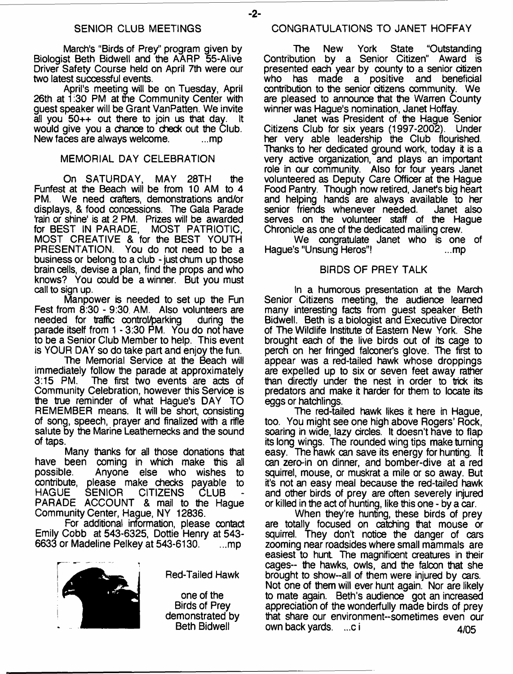March's "Birds of Prey" program given by Biologist Beth Bidwell and the AARP 55-Alive Driver Safety Course held on April 7th were our two latest successful events.

April's meeting will be on Tuesday, April 26th at 1:30 PM at the Community Center with guest speaker will be Grant VanPatten. We invite all you  $50++$  out there to join us that day. would give you a chance to check out the Club.<br>New faces are always welcome. New faces are always welcome.

#### MEMORIAL DAY CELEBRATION

On SATURDAY, MAY 28TH the Funfest at the Beach will be from 10 AM to 4<br>PM. We need crafters, demonstrations and/or We need crafters, demonstrations and/or displays, & food concessions. The Gala Parade 'rain or shine' is at 2 PM. Prizes will be awarded for BEST IN PARADE, MOST PATRIOTIC, MOST CREATIVE & for the BEST YOUTH PRESENTATION. You do not need to be a business or belong to a club - just chum up those brain cells, devise a plan, find the props and who knows? You could be a winner. But you must call to sign up.

Manpower is needed to set up the Fun Fest from 8:30 - 9:30, AM. Also volunteers are needed for traffic control/parking during the needed for traffic control/parking parade itself from 1 - 3:30 PM. You do not have to be a Senior Club Member to help. This event is YOUR DAY so do take part and enjoy the fun.

The Memorial Service at the Beach will immediately follow the parade at approximately The first two events are acts of Community Celebration, however this Service is the true reminder of what Hague's DAY TO REMEMBER means. It will be short, consisting of song, speech, prayer and finalized with a rifle salute by the Marine Leathernecks and the sound of taps.

Many thanks for all those donations that have been coming in which make this all<br>possible. Anvone else who wishes to Anyone else who wishes to contribute, please make checks payable to HAGUE SENIOR CITIZENS CLUB - PARADE ACCOUNT & mail to the Hague Community Center, Hague, NY 12836.

For additional information, please contact Emily Cobb at 543-6325, Dottie Henry at 543- 6633 or Madeline Pelkey at  $543-6130$ .  $\ldots$ mp



Red-Tailed Hawk

one of the Birds of Prey demonstrated by Beth Bidwell

The New York State "Outstanding Contribution by a Senior Citizen" Award is presented each year by county to a senior citizen<br>who has made a positive and beneficial has made a positive contribution to the senior citizens community. We are pleased to announce that the Warren County winner was Hague's nomination, Janet Hoffay.

Janet was President of the Hague Senior Citizens Club for six years (1997-2002). Under her very able leadership the Club flourished. Thanks to her dedicated ground work, today it is a very active organization, and plays an important role in our community. Also for four years Janet volunteered as Deputy Care Officer at the Hague Food Pantry. Though now retired, Janet's big heart and helping hands are always available to her senior friends whenever needed. serves on the volunteer staff of the Hague Chronicle as one of the dedicated mailing crew.

We congratulate Janet who is one of Hague's "Unsung Heros"! ...mp

#### BIRDS OF PREY TALK

In a humorous presentation at the March Senior Citizens meeting, the audience learned many interesting facts from guest speaker Beth Bidwell. Beth is a biologist and Executive Director of The Wildlife Institute of Eastern New York. She brought each of the live birds out of its cage to perch on her fringed falconer's glove. The first to appear was a red-tailed hawk whose droppings are expelled up to six or seven feet away rather than directly under the nest in order to trick its predators and make it harder for them to locate its eggs or hatchlings.

The red-tailed hawk likes it here in Hague, too. You might see one high above Rogers' Rock, soaring in wide, lazy circles. It doesn't have to flap its long wings. The rounded wing tips make turning easy. The hawk can save its energy for hunting. **It** can zero-in on dinner, and bomber-dive at a red squirrel, mouse, or muskrat a mile or so away. But it's not an easy meal because the red-tailed hawk and other birds of prey are often severely injured or killed in the act of hunting, like this one - by a car.

When they're hunting, these birds of prey are totally focused on catching that mouse or squirrel. They don't notice the danger of cars zooming near roadsides where small mammals are easiest to hunt The magnificent creatures in their cages-- the hawks, owls, and the falcon that she brought to show--all of them were injured by cars. Not one of them will ever hunt again. Nor are likely to mate again. Beth's audience got an increased appreciation of the wonderfully made birds of prey that share our environment-sometimes even our own back yards. ...c i 4/05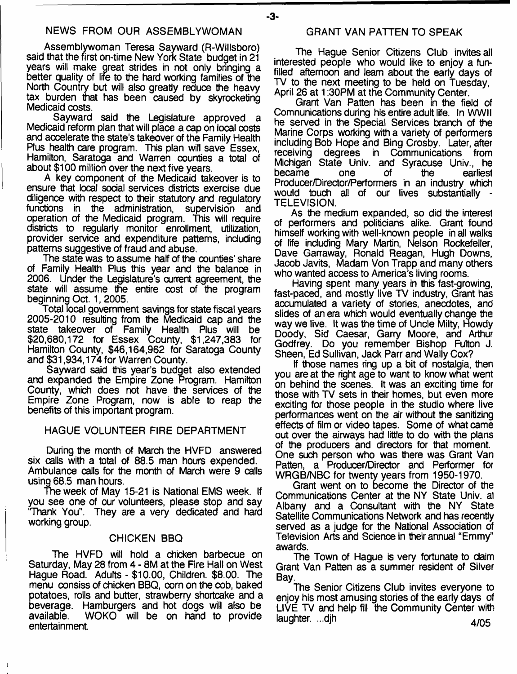## NEWS FROM OUR ASSEMBLYWOMAN

Assemblywoman Teresa Sayward (R-Willsboro) said that the first on-time New York State budget in 21 years will make great strides in not only bringing a better quality of life to the hard working families of the North Country but will also greatly reduce the heavy tax burden that has been caused by skyrocketing Medicaid costs.

Sayward said the Legislature approved a Medicaid reform plan that will place a cap on local costs and accelerate the state's takeover of the Family Health Plus health care program. This plan will save Essex, Hamilton, Saratoga and Warren counties a total of about \$100 million over the next five years.

A key component of the Medicaid takeover is to ensure that local social services districts exercise due diligence with respect to their statutory and regulatory functions in the administration, supervision and operation of the Medicaid program. This will require districts to regularly monitor enrollment, utilization, provider service and expenditure patterns, including patterns suggestive of fraud and abuse.

The state was to assume half of the counties' share of Family Health Plus this year and the balance in 2006. Under the Legislature's current agreement, the state will assume the entire cost of the program beginning Oct. 1, 2005.

Total local government savings for state fiscal years 2005-2010 resulting from the Medicaid cap and the state takeover of Family Health Plus will be \$20,680,172 for Essex County, \$1,247,383 for Hamilton County, \$46,164,962 for Saratoga County and \$31,934,174 for Warren County.

Sayward said this year's budget also extended and expanded the Empire Zone Program. Hamilton County, which does not have the services of the Empire Zone Program, now is able to reap the benefits of this important program.

#### HAGUE VOLUNTEER FIRE DEPARTMENT

During the month of March the HVFD answered six calls with a total of 88.5 man hours expended. Ambulance calls for the month of March were 9 calls using 68.5 man hours.

The week of May 15-21 is National EMS week. If you see one of our volunteers, please stop and say 'Thank You". They are a very dedicated and hard working group.

#### CHICKEN BBQ

The HVFD will hold a chicken barbecue on Saturday, May 28 from 4 - 8M at the Fire Hall on West Hague Road. Adults - \$10.00, Children. \$8.00. The menu consiss of chicken BBQ, corn on the cob, baked potatoes, rolls and butter, strawberry shortcake and a beverage. Hamburgers and hot dogs will also be available. WOKO will be on hand to provide entertainment.

#### GRANT VAN PATTEN TO SPEAK

- **3**-

The Hague Senior Citizens Club invites all interested people who would like to enjoy a funfilled afternoon and learn about the early days of TV to the next meeting to be held on Tuesday, April 26 at 1:30PM at the Community Center.

Grant Van Patten has been in the field of Comnunications during his entire adult life. In WWII he served in the Special Services branch of the Marine Corps working with a variety of performers including Bob Hope and Bing Crosby. Later, after receiving degrees in Communications from Michigan State Univ. and Syracuse Univ., he became one of the earliest Producer/Director/Performers in an industry which would touch all of our lives substantially - TELEVISION.

As the medium expanded, so did the interest of performers and politicians alike. Grant found himself working with well-known people in all walks of life including Mary Martin, Nelson Rockefeller, Dave Garraway, Ronald Reagan, Hugh Downs, Jacob Javits, Madam Von Trapp and many others who wanted access to America's living rooms.

Having spent many years in this fast-growing, fast-paced, and mostly live TV industry, Grant has accumulated a variety of stories, anecdotes, and slides of an era which would eventually change the way we live. It was the time of Uncle Milty, Howdy Doody, Sid Caesar, Garry Moore, and Arthur Godfrey. Do you remember Bishop Fulton J. Sheen, Ed Sullivan, Jack Parr and Wally Cox?

If those names ring up a bit of nostalgia, then you are at the right age to want to know what went on behind the scenes. It was an exciting time for those with TV sets in their homes, but even more exciting for those people in the studio where live performances went on the air without the sanitizing effects of film or video tapes. Some of what came out over the airways had little to do with the plans of the producers and directors for that moment. One such person who was there was Grant Van Patten, a Producer/Director and Performer for WRGB/NBC for twenty years from 1950-1970.

Grant went on to become the Director of the Communications Center at the NY State Univ. al Albany and a Consultant with the NY State Satellite Communications Network and has recently served as a judge for the National Association of Television Arts and Science in their annual "Emmy" awards.

The Town of Hague is very fortunate to daim Grant Van Patten as a summer resident of Silver Bay.

The Senior Citizens Club invites everyone to enjoy his most amusing stories of the early days of LIVE TV and help fill the Community Center with laughter. ...djh **AKV, and AKV, and AKV, and AKV, and AKV**, and AKV, and AKV, and AKV, and AKV, and AKV, and AKV, and AKV, and AKV, and AKV, and AKV, and AKV, and AKV, and AKV, and AKV, and AKV, and AKV, and AKV, and AKV,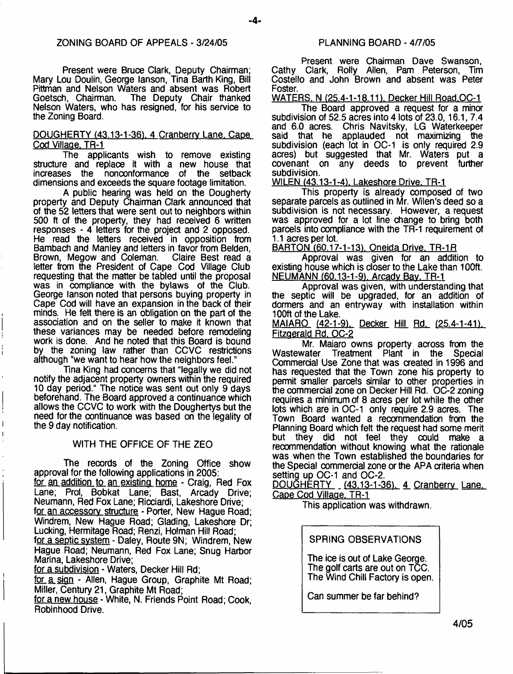Present were Bruce Clark, Deputy Chairman; Mary Lou Doulin, George lanson, Tina Barth King, Bill Pittman and Nelson Waters and absent was Robert Goetsch, Chairman. The Deputy Chair thanked Nelson Waters, who has resigned, for his service to the Zoning Board.

#### DOUGHERTY (43.13-1-36). 4 Cranberry Lane. Cape Cod Village. TR-1

The applicants wish to remove existing structure and replace it with a new house that increases the nonconformance of the setback dimensions and exceeds the square footage limitation.

A public hearing was held on the Dougherty property and Deputy Chairman Clark announced that of the 52 letters that were sent out to neighbors within 500 ft of the property, they had received 6 written responses - 4 letters for the project and 2 opposed. He read the letters received in opposition from Bambach and Manley and letters in favor from Belden,<br>Brown, Megow and Coleman. Claire Best read a Brown, Megow and Coleman. letter from the President of Cape Cod Village Club requesting that the matter be tabled until the proposal was in compliance with the bylaws of the Club. George lanson noted that persons buying property in Cape Cod will have an expansion in the back of their minds. He felt there is an obligation on the part of the association and on the seller to make it known that these variances may be needed before remodeling work is done. And he noted that this Board is bound by the zoning law rather than CCVC restrictions although "we want to hear how the neighbors feel."

Tina King had concerns that "legally we did not notify the adjacent property owners within the required 10 day period." The notice was sent out only 9 days beforehand. The Board approved a continuance which allows the CCVC to work with the Doughertys but the need for the continuance was based on the legality of the 9 day notification.

#### WITH THE OFFICE OF THE ZEO

The records of the Zoning Office show approval for the following applications in 2005: for an addition to an existing home - Craig, Red Fox Lane; Prol, Bobkat Lane; Bast, Arcady Drive; Neumann, Red Fox Lane; Ricciardi, Lakeshore Drive; for an accessory structure - Porter, New Hague Road; Windrem, New Hague Road; Giading, Lakeshore Dr; Lucking, Hermitage Road; Renzi, Holman Hill Road; for a septic system - Daley, Route 9N; Windrem, New Hague Road; Neumann, Red Fox Lane; Snug Harbor Marina, Lakeshore Drive;

for a subdivision - Waters, Decker Hill Rd;

for a sign - Allen, Hague Group, Graphite Mt Road; Miller, Century 21, Graphite Mt Road;

for a new house - White. N. Friends Point Road; Cook, Robinhood Drive.

Present were Chairman Dave Swanson, Cathy Clark, Roily Allen, Pam Peterson, Tim Costello and John Brown and absent was Peter Foster.

WATERS. N (25.4-1-18.11). Decker Hill Road.OC-1 The Board approved a request for a minor subdivision of 52.5 acres into 4 lots of 23.0,16.1, 7.4 and 6.0 acres. Chris Navitsky, LG Waterkeeper said that he applauded not maximizing the subdivision (each lot in OC-1 is only required 2.9 acres) but suggested that Mr. Waters put a covenant on any deeds to prevent further subdivision.

WILEN (43.13-1-4). Lakeshore Drive. TR-1

This property is already composed of two separate parcels as outlined in Mr. Wilen's deed so a subdivision is not necessary. However, a request was approved for a lot line change to bring both parcels into compliance with the TR-1 requirement of 1.1 acres per lot.

BARTON (60.17-1-13), Oneida Drive. TR-1R

Approval was given for an addition to existing house which is closer to the Lake than 100ft. NEUMANN (60.13-1-9), Arcady Bay, TR-1

Approval was given, with understanding that the septic will be upgraded, for an addition of dormers and an entryway with installation within 100ft of the Lake.

MAIARO (42-1-9). Decker Hill Rd. (25.4-1-41). Fitzgerald Rd. OC-2

Mr. Maiaro owns property across from the<br>Wastewater Treatment Plant in the Special Treatment Plant in the Special Commercial Use Zone that was created in 1996 and has requested that the Town zone his property to permit smaller parcels similar to other properties in the commercial zone on Decker Hill Rd. OC-2 zoning requires a minimum of 8 acres per lot while the other lots which are in OC-1 only require 2.9 acres. The Town Board wanted a recommendation from the Planning Board which felt the request had some merit but they did not feel they could make a recommendation without knowing what the rationale was when the Town established the boundaries for the Special commercial zone or the APA criteria when setting up OC-1 and OC-2.

DOUGHERTY (43.13-1-36). 4 Cranberry Lane. Cape Cod Village. TR-1

This application was withdrawn.

SPRING OBSERVATIONS

The ice is out of Lake George. The golf carts are out on TCC. The Wind Chill Factory is open

Can summer be far behind?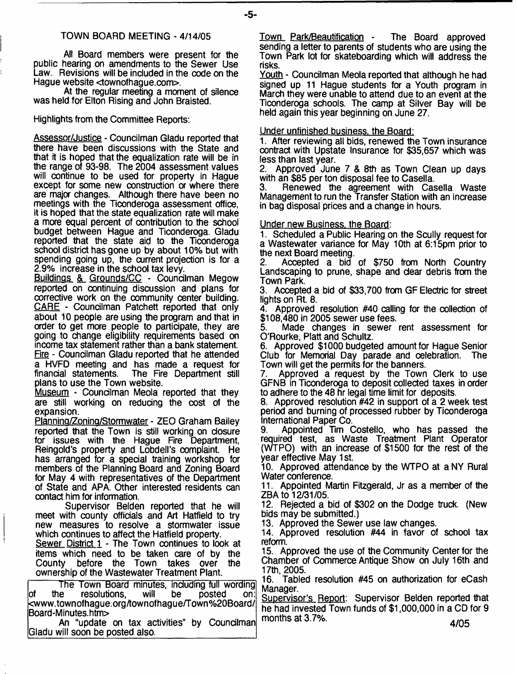#### TOWN BOARD MEETING - 4/14/05

All Board members were present for the public hearing on amendments to the Sewer Use Law. Revisions will be included in the code on the Hague website <townofhague.com>.

At the regular meeting a moment of silence was held for Elton Rising and John Braisted.

Highlights from the Committee Reports:

Assessor/Justice - Councilman Gladu reported that there have been discussions with the State and that it is hoped that the equalization rate will be in the range of 93-98. The 2004 assessment values will continue to be used for property in Hague except for some new construction or where there are major changes. Although there have been no meetings with the Ticonderoga assessment office, it is hoped that the state equalization rate will make a more equal percent of contribution to the school budget between Hague and Ticonderoga. Gladu reported that the state aid to the Ticonderoga school district has gone up by about 10% but with spending going up, the current projection is for a 2.9% increase in the school tax levy.

Buildings & Grounds/CC - Councilman Megow reported on continuing discussion and plans for corrective work on the community center building. CARE - Councilman Patchett reported that only about 10 people are using the program and that in order to get more people to participate, they are going to change eligibility requirements based on income tax statement rather than a bank statement. Fire - Councilman Gladu reported that he attended a HVFD meeting and has made a request for The Fire Department still plans to use the Town website.

Museum - Councilman Meola reported that they are still working on reducing the cost of the expansion.

Plannina/ZoninQ/Stormwater - ZEO Graham Bailey reported that the Town is still working on closure for issues with the Hague Fire Department, Reingold's property and Lobdell's complaint. He has arranged for a special training workshop for members of the Planning Board and Zoning Board for May 4 with representatives of the Department of State and APA. Other interested residents can contact him for information.

Supervisor Belden reported that he will meet with county officials and Art Hatfield to try new measures to resolve a stormwater issue which continues to affect the Hatfield property.

Sewer District 1 - The Town continues to look at items which need to be taken care of by the before the Town takes over the ownership of the Wastewater Treatment Plant.

The Town Board minutes, including full wording<br>ie resolutions, will be posted on: of the resolutions, will be posted on: [<www.townofhague.org/townofhague/Town%20Board/](http://www.townofhague.org/townofhague/Town%20Board/%e2%80%a8Board-Minutes.htm)  [Board-Minutes.htm>](http://www.townofhague.org/townofhague/Town%20Board/%e2%80%a8Board-Minutes.htm)

An "update on tax activities" by Councilman Gladu will soon be posted also.

Town Park/Beautification - The Board approved sending a letter to parents of students who are using the Town Park lot for skateboarding which will address the risks.

Youth - Councilman Meola reported that although he had signed up 11 Hague students for a Youth program in March they were unable to attend due to an event at the Ticonderoga schools. The camp at Silver Bay will be held again this year beginning on June 27.

#### Under unfinished business, the Board:

1. After reviewing all bids, renewed the Town insurance contract with Upstate Insurance for \$35,657 which was less than last year.<br>2. Approved June

2. Approved June 7 & 8th as Town Clean up days with an \$85 per ton disposal fee to Casella.<br>3. Benewed the agreement with Cas

Renewed the agreement with Casella Waste Management to run the Transfer Station with an increase in bag disposal prices and a change in hours.

#### Under new Business, the Board:

1. Scheduled a Public Hearing on the Scully request for a Wastewater variance for May 10th at 6:15pm prior to the next Board meeting.<br>2. Accepted a bid

2. Accepted a bid of \$750 from North Country Landscaping to prune, shape and dear debris from the Town Park.

3. Accepted a bid of \$33,700 from GF Electric for street lights on Rt. 8.

Approved resolution #40 calling for the collection of \$108,480 in 2005 sewer use fees.

Made changes in sewer rent assessment for O'Rourke, Platt and Schultz.

6. Approved \$1000 budgeted amount for Hague Senior Club for Memorial Day parade and celebration. The Town will get the permits for the banners.

7. Approved a request by the Town Clerk to use GFNB in Ticonderoga to deposit collected taxes in order to adhere to the 48 hr legal time limit for deposits.

8. Approved resolution #42 in support of a 2 week test period and burning of processed rubber by Ticonderoga International Paper Co.<br>9. Appointed Tim 0.

Appointed Tim Costello, who has passed the required test, as Waste Treatment Plant Operator (WTPO) with an increase of \$1500 for the rest of the year effective May 1 st.

10. Approved attendance by the WTPO at a NY Rural Water conference.

11. Appointed Martin Fitzgerald, Jr as a member of the ZBA to 12/31/05.

12. Rejected a bid of \$302 on the Dodge truck. (New bids may be submitted.)

13. Approved the Sewer use law changes.

14. Approved resolution #44 in favor of school tax reform.

15. Approved the use of the Community Center for the Chamber of Commerce Antique Show on July 16th and 17th, 2005.

16. Tabled resolution #45 on authorization for eCash Manager.

Supervisor's Report: Supervisor Belden reported that he had invested Town funds of \$1,000,000 in a CD for 9 months at 3.7%. 4/05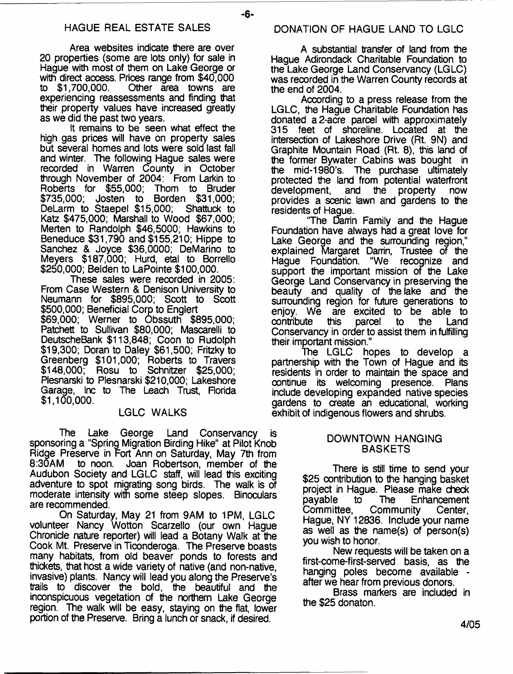#### HAGUE REAL ESTATE SALES DONATION OF HAGUE LAND TO LGLC

Area websites indicate there are over 20 properties (some are lots only) for sale in Hague with most of them on Lake George or with direct access. Prices range from \$40,000<br>to \$1,700,000. Other area towns are Other area towns are experiencing reassessments and finding that their property values have increased greatly as we did the past two years.

It remains to be seen what effect the high gas prices will have on property sales but several homes and lots were sold last fall and winter. The following Hague sales were recorded in Warren County in October through November of 2004: From Larkin to Roberts for \$55,000; \$735,000; Josten to Borden \$31,000;<br>DeLarm to Staepel \$15,000: Shattuck to DeLarm to Staepel \$15,000; Katz \$475,000; Marshall to Wood \$67,000; Merten to Randolph \$46,5000; Hawkins to Beneduce \$31,790 and \$155,210; Hippe to Sanchez & Joyce \$36,0000; DeMarino to Meyers \$187,000; Hurd, etal to Borrello \$250,000; Belden to LaPointe \$100,000.

These sales were recorded in 2005: From Case Western & Denison University to Neumann for \$895,000; Scott to Scott \$500,000; Beneficial Corp to Englert \$69,000; Werner to Obssuth \$895,000; Patchett to Sullivan \$80,000; Mascarelli to DeutscheBank \$113,848; Coon to Rudolph \$19,300; Doran to Daley \$61,500; Fritzky to Greenberg \$101,000; Roberts to Travers \$148,000; Rosu to Schnitzer \$25,000; Plesnarski to Plesnarski \$210,000; Lakeshore Garage, Inc to The Leach Trust, Florida **\$** 1**,**100**,**000**.**

#### LGLC WALKS

The Lake George Land Conservancy is sponsoring a "Spring Migration Birding Hike" at Pilot Knob Ridge Preserve in Fort Ann on Saturday, May 7th from<br>8:30AM to noon. Joan Robertson, member of the to noon. Joan Robertson, member of the Audubon Society and LGLC staff, will lead this exciting adventure to spot migrating song birds. The walk is of moderate intensity with some steep slopes. Binoculars are recommended.

On Saturday, May 21 from 9AM to 1PM, LGLC volunteer Nancy Wotton Scarzello (our own Hague Chronicle nature reporter) will lead a Botany Walk at the Cook Mt. Preserve in Ticonderoga. The Preserve boasts many habitats, from old beaver ponds to forests and thickets, that host a wide variety of native (and non-native, invasive) plants. Nancy will lead you along the Preserve's trails to discover the bold, the beautiful and the inconspicuous vegetation of the northern Lake George region. The walk will be easy, staying on the flat, lower portion of the Preserve. Bring a lunch or snack, if desired.

A substantial transfer of land from the Hague Adirondack Charitable Foundation to the Lake George Land Conservancy (LGLC) was recorded in the Warren County records at the end of 2004.

According to a press release from the LGLC, the Hague Charitable Foundation has donated a 2-acre parcel with approximately 315 feet of shoreline. Located at the intersection of Lakeshore Drive (Rt. 9N) and Graphite Mountain Road (Rt. 8), this land of the former Bywater Cabins was bought in the mid-1980's. The purchase ultimately protected the land from potential waterfront development, and the property now provides a scenic lawn and gardens to the residents of Hague.

"The Darrin Family and the Hague Foundation have always had a great love for Lake George and the surrounding region," explained Margaret Darrin, Trustee of the<br>Hague Foundation. "We recognize and "We recognize and support the important mission of the Lake George Land Conservancy in preserving the beauty and quality of the lake and the surrounding region for future generations to enjoy. We are excited to be able to contribute this parcel to the Land Conservancy in order to assist them in fulfilling their important mission."

The LGLC hopes to develop a partnership with the Town of Hague and its residents in order to maintain the space and continue its welcoming presence. Plans include developing expanded native species gardens to create an educational, working exhibit of indigenous flowers and shrubs.

#### DOWNTOWN HANGING BASKETS

There is still time to send your \$25 contribution to the hanging basket project in Hague. Please make check payable to The Enhancement Committee, Community Center, Hague, NY 12836. Include your name as well as the name(s) of person(s) you wish to honor.

New requests will be taken on a first-come-first-served basis, as the hanging poles become available after we hear from previous donors.

Brass markers are included in the \$25 donaton.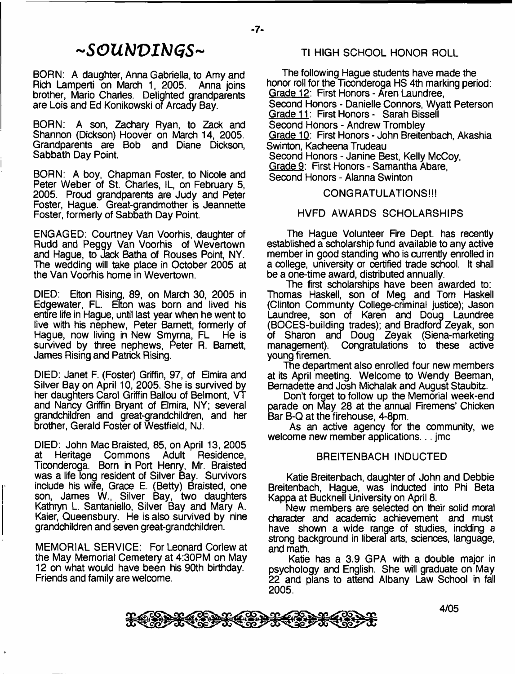# *~SGUb)VIbJGS~*

BORN: A daughter, Anna Gabriella, to Amy and Rich Lamperti on March 1, 2005. brother, Mario Charles. Delighted grandparents are Lois and Ed Konikowski of Arcady Bay.

BORN: A son, Zachary Ryan, to Zack and Shannon (Dickson) Hoover on March 14, 2005. Grandparents are Bob and Diane Dickson, Sabbath Day Point.

BORN: A boy, Chapman Foster, to Nicole and Peter Weber of St. Charles, IL, on February 5, 2005. Proud grandparents are Judy and Peter Foster, Hague. Great-grandmother is Jeannette Foster, formerly of Sabbath Day Point.

ENGAGED: Courtney Van Voorhis, daughter of Rudd and Peggy Van Voorhis of Wevertown and Hague, to Jack Batha of Rouses Point, NY. The wedding will take place in October 2005 at the Van Voorhis home in Wevertown.

DIED: Elton Rising, 89, on March 30, 2005 in Edgewater, FL. ETton was born and lived his entire life in Hague, until last year when he went to live with his nephew, Peter Barnett, formerly of Hague, now living in New Smyrna, FL He is survived by three nephews, Peter R. Barnett, James Rising and Patrick Rising.

DIED: Janet F. (Foster) Griffin, 97, of Elmira and Silver Bay on April 10, 2005. She is survived by her daughters Carol Griffin Ballou of Belmont, VT and Nancy Griffin Bryant of Elmira, NY; several grandchildren and great-grandchildren, and her brother, Gerald Foster of Westfield, NJ.

DIED: John MacBraisted, 85, on April 13, 2005 at Heritage Commons Adult Residence, Ticonderoga. Born in Port Henry, Mr. Braisted was a life Tong resident of Silver Bay. Survivors include his wife, Grace E. (Betty) Braisted, one son, James W., Silver Bay, two daughters Kathryn L. Santaniello, Silver Bay and Mary A. Kaier, Queensbury. He is also survived by nine grandchildren and seven great-grandchildren.

MEMORIAL SERVICE: For Leonard Corlew at the May Memorial Cemetery at 4:30PM on May 12 on what would have been his 90th birthday. Friends and family are welcome.

## Tl HIGH SCHOOL HONOR ROLL

The following Hague students have made the honor roll for the Ticonderoga HS 4th marking period: Grade 12: First Honors - Aren Laundree, Second Honors - Danielle Connors, Wyatt Peterson Grade 11: First Honors - Sarah Bissell Second Honors - Andrew Trombley Grade 10: First Honors - John Breitenbach, Akashia Swinton, Kacheena Trudeau Second Honors - Janine Best, Kelly McCoy, Grade 9: First Honors - Samantha Abare, Second Honors - Alanna Swinton

### CONGRATULATIONS!!!

#### HVFD AWARDS SCHOLARSHIPS

The Hague Volunteer Fire Dept, has recently established a scholarship fund available to any active member in good standing who is currently enrolled in a college, university or certified trade school. It shall be a one-time award, distributed annually.

The first scholarships have been awarded to: Thomas Haskell, son of Meg and Tom Haskell (Clinton Communty College-criminal justice); Jason Laundree, son of Karen and Doug Laundree (BOCES-building trades); and Bradford Zeyak, son of Sharon and Doug Zeyak (Siena-marketing Congratulations to these active young firemen.

The department also enrolled four new members at its April meeting. Welcome to Wendy Beeman, Bernadette and Josh Michalak and August Staubitz.

Don't forget to follow up the Memorial week-end parade on May 28 at the annual Firemens' Chicken Bar B-Q at the firehouse, 4-8pm.

As an active agency for the community, we welcome new member applications... jmc

#### BREITENBACH INDUCTED

Katie Breitenbach, daughter of John and Debbie Breitenbach, Hague, was inducted into Phi Beta Kappa at Bucknell University on April 8 .

New members are selected on their solid moral character and academic achievement and must have shown a wide range of studies, indding a strong background in liberal arts, sciences, language, and math.

Katie has a 3.9 GPA with a double major in psychology and English. She will graduate on May 22 and plans to attend Albany Law School in fall 2005.

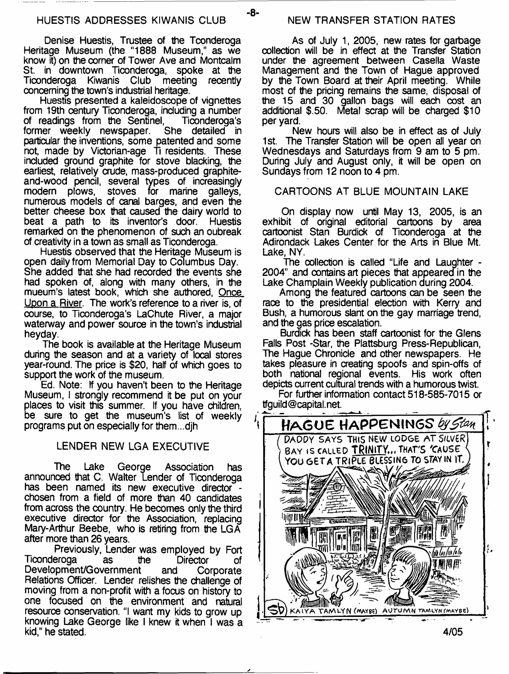Denise Huestis, Trustee of the Tconderoga Heritage Museum (the "1888 Museum," as we know it) on the comer of Tower Ave and Montcalm St. in downtown Ticonderoga, spoke at the Ticonderoga Kiwanis Club meeting recently concerning the town's industrial heritage.

Huestis presented a kaleidoscope of vignettes from 19th century Ticonderoga, including a number of readings from the Sentinel, Ticonderoga's former weekly newspaper. She detailed in former weekly newspaper. particular the inventions, some patented and some not, made by Victorian-age Ti residents. These included ground graphite for stove blacking, the earliest, relatively crude, mass-produced graphiteand-wood pencil, several types of increasingly stoves for marine numerous models of canal barges, and even the better cheese box that caused the dairy world to beat a path to its inventor's door. Huestis remarked on the phenomenon of such an oubreak of creativity in a town as small as Ticonderoga.

Huestis observed that the Heritage Museum is open daily from Memorial Day to Columbus Day. She added that she had recorded the events she had spoken of, along with many others, in the mueum's latest book, which she authored, <u>Once</u> Upon a River. The work's reference to a river is, of course, to Ticonderoga's LaChute River, a major waterway and power source in the town's industrial heyday.

The book is available at the Heritage Museum during the season and at a variety of local stores year-round. The price is \$20, half of which goes to support the work of the museum.

Ed. Note: If you haven't been to the Heritage Museum, I strongly recommend it be put on your places to visit this summer. If you have children, be sure to get the museum's list of weekly programs put on especially for them...djh

#### LENDER NEW LGA EXECUTIVE

The Lake George Association has announced that C. Walter Lender of Ticonderoga has been named its new executive director chosen from a field of more than 40 candidates from across the country. He becomes only the third executive director for the Association, replacing Mary-Arthur Beebe, who is retiring from the LGA after more than 26 years.

Previously, Lender was employed by Fort Ticonderoga as the Director of Development/Government and Corporate Relations Officer. Lender relishes the challenge of moving from a non-profit with a focus on history to one focused on the environment and natural resource conservation. "I want my kids to grow up knowing Lake George like I knew it when I was a kid,'' he stated.

-8-

As of July 1, 2005, new rates for garbage collection will be in effect at the Transfer Station under the agreement between Casella Waste Management and the Town of Hague approved by the Town Board at their April meeting. While most of the pricing remains the same, disposal of the 15 and 30 gallon bags will each cost an additional \$.50. Metal scrap will be charged \$10 per yard.

New hours will also be in effect as of July 1st. The Transfer Station will be open all year on Wednesdays and Saturdays from 9 am to 5 pm. During July and August only, it will be open on Sundays from 12 noon to 4 pm.

#### CARTOONS AT BLUE MOUNTAIN LAKE

On display now until May 13, 2005, is an exhibit of original editorial cartoons by area cartoonist Stan Burdick of Ticonderoga at the Adirondack Lakes Center for the Arts in Blue Mt. Lake, NY.

The collection is called "Life and Laughter - 2004" and contains art pieces that appeared in the Lake Champlain Weekly publication during 2004.

Among the featured cartoons can be seen the race to the presidential election with Kerry and Bush, a humorous slant on the gay marriage trend, and the gas price escalation.

Burdick has been staff cartoonist for the Glens Falls Post -Star, the Plattsburg Press-Republican, The Hague Chronicle and other newspapers. He takes pleasure in creating spoofs and spin-offs of both national regional events. His work often depicts current cultural trends with a humorous twist.

For further information contact 518-585-7015 or [tfguild@capital.net.](mailto:tfguild@capital.net)

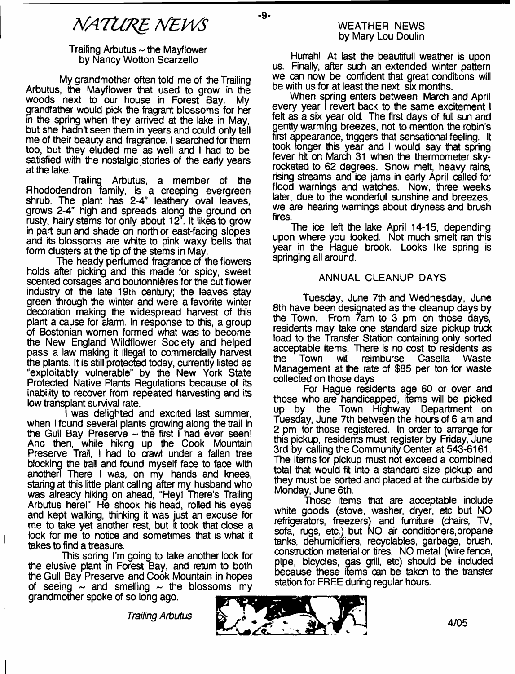-9-

#### Trailing Arbutus  $\sim$  the Mayflower by Nancy Wotton Scarzello

My grandmother often told me of the Trailing Arbutus, the Mayflower that used to grow in the woods next to our house in Forest Bay. grandfather would pick the fragrant blossoms for her in the spring when they arrived at the lake in May, but she hadn't seen them in years and could only tell me of their beauty and fragrance. I searched for them too, but they eluded me as well and I had to be satisfied with the nostalgic stories of the early years at the lake.

Trailing Arbutus, a member of the Rhododendron family, is a creeping evergreen shrub. The plant has 2-4" leathery oval leaves, grows 2-4" high and spreads along the ground on rusty, hairy stems for only about *12r.* It likes to grow in part sun and shade on north or east-facing slopes and its blossoms are white to pink waxy bells that form clusters at the tip of the stems in May.

The heady perfumed fragrance of the flowers holds after picking and this made for spicy, sweet scented corsages and boutonnieres for the cut flower industry of the late 19th century; the leaves stay green through the winter and were a favorite winter decoration making the widespread harvest of this plant a cause for alarm. In response to this, a group of Bostonian women formed what was to become the New England Wildflower Society and helped pass a law making it illegal to commercially harvest the plants. It is still protected today, currently listed as "exploitably vulnerable" by the New York State Protected Native Plants Regulations because of its inability to recover from repeated harvesting and its low transplant survival rate.

I was delighted and excited last summer, when I found several plants growing along the trail in the Gull Bay Preserve  $\sim$  the first I had ever seen! And then, while hiking up the Cook Mountain Preserve Trail, I had to crawl under a fallen tree blocking the trail and found myself face to face with another! There I was, on my hands and knees, staring at this little plant calling after my husband who was already hiking on ahead, "Hey! There's Trailing Arbutus here!" He shook his head, rolled his eyes and kept walking, thinking it was just an excuse for me to take yet another rest, but it took that close a look for me to notice and sometimes that is what it takes to find a treasure.

This spring I'm going to take another look for the elusive plant in Forest Bay, and return to both the Gull Bay Preserve and Cook Mountain in hopes of seeing  $\sim$  and smelling  $\sim$  the blossoms my grandmother spoke of so long ago.

 $\overline{\phantom{a}}$ 

#### WEATHER NEWS by Mary Lou Doulin

Hurrah! At last the beautifull weather is upon us. Finally, after such an extended winter pattern we can now be confident that great conditions will be with us for at least the next six months.

When spring enters between March and April every year I revert back to the same excitement I felt as a six year old. The first days of full sun and gently warming breezes, not to mention the robin's first appearance, triggers that sensational feeling. It took longer this year and I would say that spring fever hit on March 31 when the thermometer skyrocketed to 62 degrees. Snow melt, heavy rains, rising streams and ice jams in early April called for flood warnings and watches. Now, three weeks later, due to the wonderful sunshine and breezes. we are hearing warnings about dryness and brush fires.

The ice left the lake April 14-15, depending upon where you looked. Not much smelt ran this year in the Hague brook. Looks like spring is springing all around.

## ANNUAL CLEANUP DAYS

Tuesday, June 7th and Wednesday, June 8th have been designated as the cleanup days by the Town. From 7am to 3 pm on those days, residents may take one standard size pickup truck load to the Transfer Station containing only sorted acceptable items. There is no cost to residents as the Town will reimburse Casella Management at the rate of \$85 per ton for waste collected on those days

For Hague residents age 60 or over and those who are handicapped, items will be picked up by the Town Highway Department on Tuesday, June 7th between the hours of 6 am and 2 pm for those registered. In order to arrange for this pickup, residents must register by Friday, June 3rd by calling the Community Center at 543-6161. The items for pickup must not exceed a combined total that would fit into a standard size pickup and they must be sorted and placed at the curbside by Monday, June 6th.

Those items that are acceptable include white goods (stove, washer, dryer, etc but NO refrigerators, freezers) and furniture (chairs, TV, sofa, rugs, etc.) but NO air conditioners, propane tanks, dehumidrfiers, recyclables, garbage, brush, construction material or tires. NO metal (wire fence, pipe, bicycles, gas grill, etc) should be included because these items can be taken to the transfer station for FREE during regular hours.